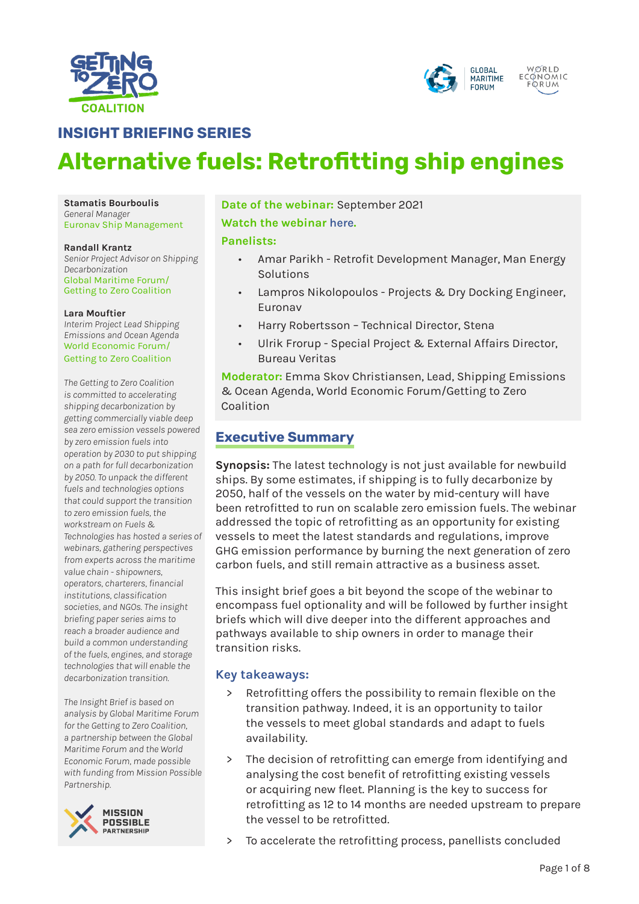



# **INSIGHT BRIEFING SERIES**

# **Alternative fuels: Retrofitting ship engines**

**Stamatis Bourboulis** *General Manager* Euronav Ship Management

#### **Randall Krantz**

*Senior Project Advisor on Shipping Decarbonization* Global Maritime Forum/ Getting to Zero Coalition

#### **Lara Mouftier**

*Interim Project Lead Shipping Emissions and Ocean Agenda* World Economic Forum/ Getting to Zero Coalition

*The Getting to Zero Coalition is committed to accelerating shipping decarbonization by getting commercially viable deep sea zero emission vessels powered by zero emission fuels into operation by 2030 to put shipping on a path for full decarbonization by 2050. To unpack the different fuels and technologies options that could support the transition to zero emission fuels, the workstream on Fuels & Technologies has hosted a series of webinars, gathering perspectives from experts across the maritime value chain - shipowners, operators, charterers, financial institutions, classification societies, and NGOs. The insight briefing paper series aims to reach a broader audience and build a common understanding of the fuels, engines, and storage technologies that will enable the decarbonization transition.*

*The Insight Brief is based on analysis by Global Maritime Forum for the Getting to Zero Coalition, a partnership between the Global Maritime Forum and the World Economic Forum, made possible with funding from Mission Possible Partnership.* 



**Date of the webinar:** September 2021

#### **Watch the webinar [here](https://www.youtube.com/watch?v=EcsPyp6NmTk).**

#### **Panelists:**

- Amar Parikh Retrofit Development Manager, Man Energy Solutions
- Lampros Nikolopoulos Projects & Dry Docking Engineer, Euronav
- Harry Robertsson Technical Director, Stena
- Ulrik Frorup Special Project & External Affairs Director, Bureau Veritas

**Moderator:** Emma Skov Christiansen, Lead, Shipping Emissions & Ocean Agenda, World Economic Forum/Getting to Zero Coalition

# **Executive Summary**

**Synopsis:** The latest technology is not just available for newbuild ships. By some estimates, if shipping is to fully decarbonize by 2050, half of the vessels on the water by mid-century will have been retrofitted to run on scalable zero emission fuels. The webinar addressed the topic of retrofitting as an opportunity for existing vessels to meet the latest standards and regulations, improve GHG emission performance by burning the next generation of zero carbon fuels, and still remain attractive as a business asset.

This insight brief goes a bit beyond the scope of the webinar to encompass fuel optionality and will be followed by further insight briefs which will dive deeper into the different approaches and pathways available to ship owners in order to manage their transition risks.

### **Key takeaways:**

- Retrofitting offers the possibility to remain flexible on the transition pathway. Indeed, it is an opportunity to tailor the vessels to meet global standards and adapt to fuels availability.
- The decision of retrofitting can emerge from identifying and analysing the cost benefit of retrofitting existing vessels or acquiring new fleet. Planning is the key to success for retrofitting as 12 to 14 months are needed upstream to prepare the vessel to be retrofitted.
- > To accelerate the retrofitting process, panellists concluded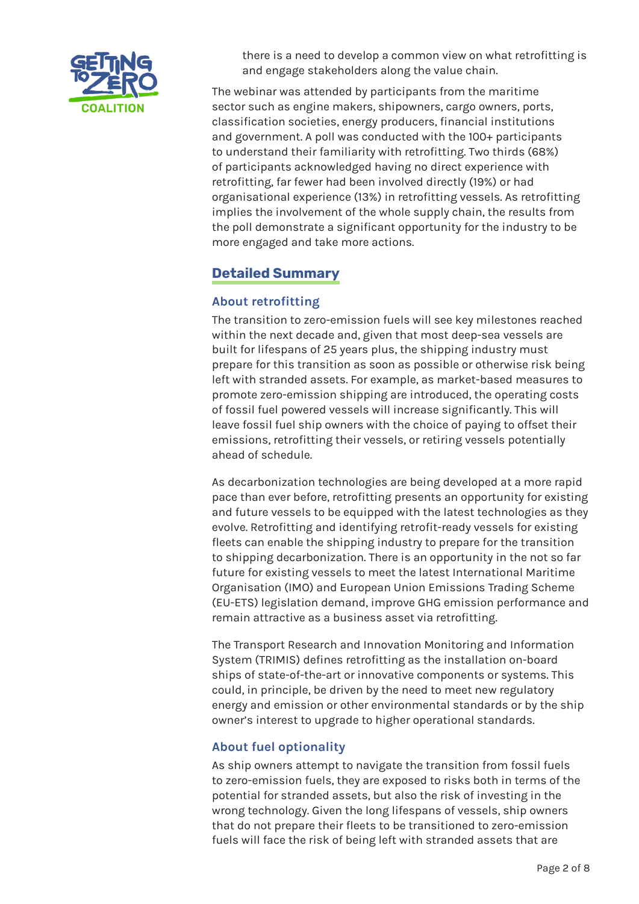

there is a need to develop a common view on what retrofitting is and engage stakeholders along the value chain.

The webinar was attended by participants from the maritime sector such as engine makers, shipowners, cargo owners, ports, classification societies, energy producers, financial institutions and government. A poll was conducted with the 100+ participants to understand their familiarity with retrofitting. Two thirds (68%) of participants acknowledged having no direct experience with retrofitting, far fewer had been involved directly (19%) or had organisational experience (13%) in retrofitting vessels. As retrofitting implies the involvement of the whole supply chain, the results from the poll demonstrate a significant opportunity for the industry to be more engaged and take more actions.

# **Detailed Summary**

# **About retrofitting**

The transition to zero-emission fuels will see key milestones reached within the next decade and, given that most deep-sea vessels are built for lifespans of 25 years plus, the shipping industry must prepare for this transition as soon as possible or otherwise risk being left with stranded assets. For example, as market-based measures to promote zero-emission shipping are introduced, the operating costs of fossil fuel powered vessels will increase significantly. This will leave fossil fuel ship owners with the choice of paying to offset their emissions, retrofitting their vessels, or retiring vessels potentially ahead of schedule.

As decarbonization technologies are being developed at a more rapid pace than ever before, retrofitting presents an opportunity for existing and future vessels to be equipped with the latest technologies as they evolve. Retrofitting and identifying retrofit-ready vessels for existing fleets can enable the shipping industry to prepare for the transition to shipping decarbonization. There is an opportunity in the not so far future for existing vessels to meet the latest International Maritime Organisation (IMO) and European Union Emissions Trading Scheme (EU-ETS) legislation demand, improve GHG emission performance and remain attractive as a business asset via retrofitting.

The Transport Research and Innovation Monitoring and Information System (TRIMIS) defines retrofitting as the installation on-board ships of state-of-the-art or innovative components or systems. This could, in principle, be driven by the need to meet new regulatory energy and emission or other environmental standards or by the ship owner's interest to upgrade to higher operational standards.

# **About fuel optionality**

As ship owners attempt to navigate the transition from fossil fuels to zero-emission fuels, they are exposed to risks both in terms of the potential for stranded assets, but also the risk of investing in the wrong technology. Given the long lifespans of vessels, ship owners that do not prepare their fleets to be transitioned to zero-emission fuels will face the risk of being left with stranded assets that are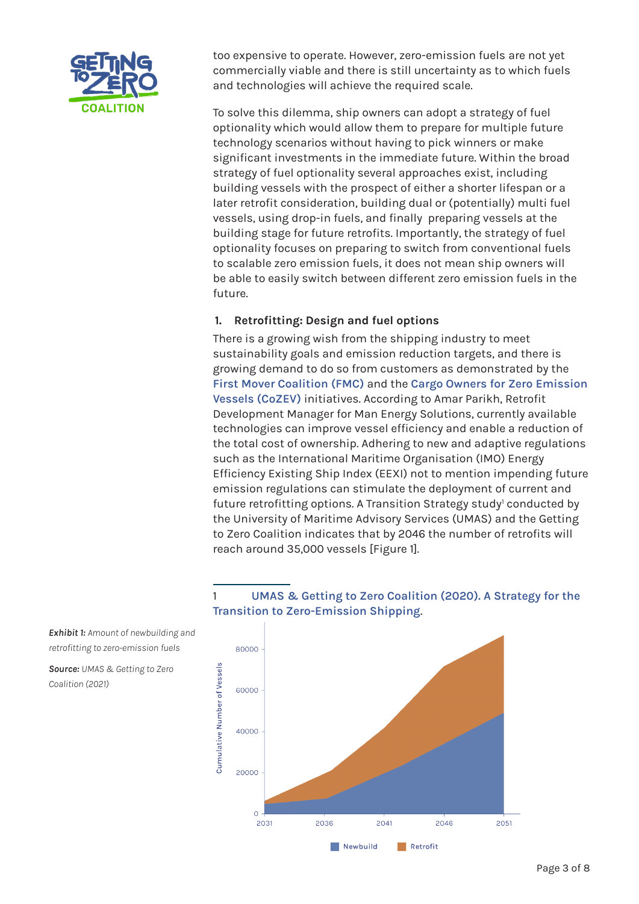

too expensive to operate. However, zero-emission fuels are not yet commercially viable and there is still uncertainty as to which fuels and technologies will achieve the required scale.

To solve this dilemma, ship owners can adopt a strategy of fuel optionality which would allow them to prepare for multiple future technology scenarios without having to pick winners or make significant investments in the immediate future. Within the broad strategy of fuel optionality several approaches exist, including building vessels with the prospect of either a shorter lifespan or a later retrofit consideration, building dual or (potentially) multi fuel vessels, using drop-in fuels, and finally preparing vessels at the building stage for future retrofits. Importantly, the strategy of fuel optionality focuses on preparing to switch from conventional fuels to scalable zero emission fuels, it does not mean ship owners will be able to easily switch between different zero emission fuels in the future.

## **1. Retrofitting: Design and fuel options**

There is a growing wish from the shipping industry to meet sustainability goals and emission reduction targets, and there is growing demand to do so from customers as demonstrated by the **[First Mover Coalition \(FMC\)](https://www.weforum.org/first-movers-coalition)** and the **[Cargo Owners for Zero Emission](https://www.cozev.org/)  [Vessels \(CoZEV\)](https://www.cozev.org/)** initiatives. According to Amar Parikh, Retrofit Development Manager for Man Energy Solutions, currently available technologies can improve vessel efficiency and enable a reduction of the total cost of ownership. Adhering to new and adaptive regulations such as the International Maritime Organisation (IMO) Energy Efficiency Existing Ship Index (EEXI) not to mention impending future emission regulations can stimulate the deployment of current and future retrofitting options. A Transition Strategy study<sup>1</sup> conducted by the University of Maritime Advisory Services (UMAS) and the Getting to Zero Coalition indicates that by 2046 the number of retrofits will reach around 35,000 vessels [Figure 1].

1 **[UMAS & Getting to Zero Coalition \(2020\). A Strategy for the](https://www3.weforum.org/docs/WEF_A%20Strategy_for_the_Transition_to_Zero_Emission_Shipping_2021.pdf)** 



*Exhibit 1: Amount of newbuilding and retrofitting to zero-emission fuels*

*Source: UMAS & Getting to Zero Coalition (2021)*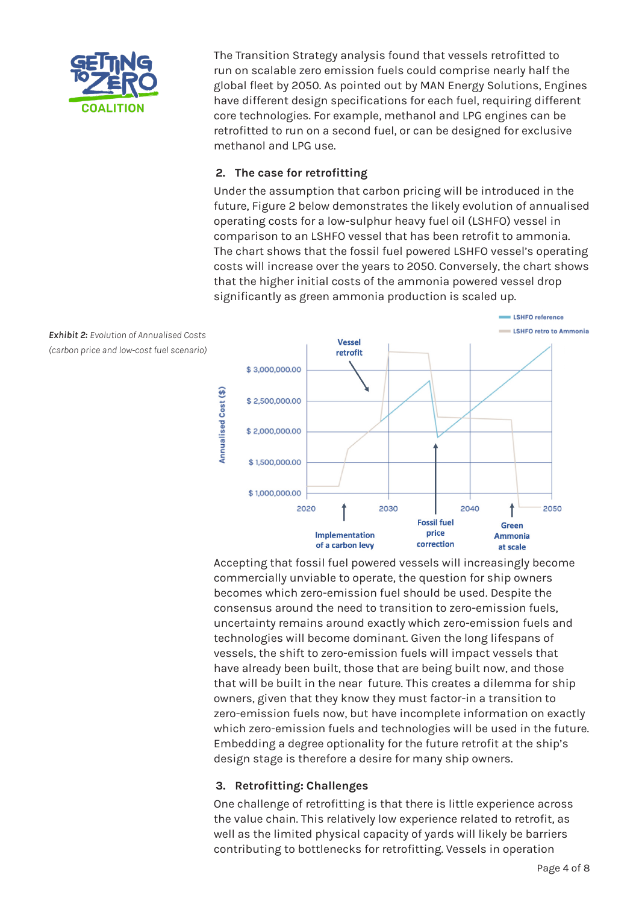

The Transition Strategy analysis found that vessels retrofitted to run on scalable zero emission fuels could comprise nearly half the global fleet by 2050. As pointed out by MAN Energy Solutions, Engines have different design specifications for each fuel, requiring different core technologies. For example, methanol and LPG engines can be retrofitted to run on a second fuel, or can be designed for exclusive methanol and LPG use.

## **2. The case for retrofitting**

Under the assumption that carbon pricing will be introduced in the future, Figure 2 below demonstrates the likely evolution of annualised operating costs for a low-sulphur heavy fuel oil (LSHFO) vessel in comparison to an LSHFO vessel that has been retrofit to ammonia. The chart shows that the fossil fuel powered LSHFO vessel's operating costs will increase over the years to 2050. Conversely, the chart shows that the higher initial costs of the ammonia powered vessel drop significantly as green ammonia production is scaled up.



Accepting that fossil fuel powered vessels will increasingly become commercially unviable to operate, the question for ship owners becomes which zero-emission fuel should be used. Despite the consensus around the need to transition to zero-emission fuels, uncertainty remains around exactly which zero-emission fuels and technologies will become dominant. Given the long lifespans of vessels, the shift to zero-emission fuels will impact vessels that have already been built, those that are being built now, and those that will be built in the near future. This creates a dilemma for ship owners, given that they know they must factor-in a transition to zero-emission fuels now, but have incomplete information on exactly which zero-emission fuels and technologies will be used in the future. Embedding a degree optionality for the future retrofit at the ship's design stage is therefore a desire for many ship owners.

## **3. Retrofitting: Challenges**

One challenge of retrofitting is that there is little experience across the value chain. This relatively low experience related to retrofit, as well as the limited physical capacity of yards will likely be barriers contributing to bottlenecks for retrofitting. Vessels in operation

*Exhibit 2: Evolution of Annualised Costs (carbon price and low-cost fuel scenario)*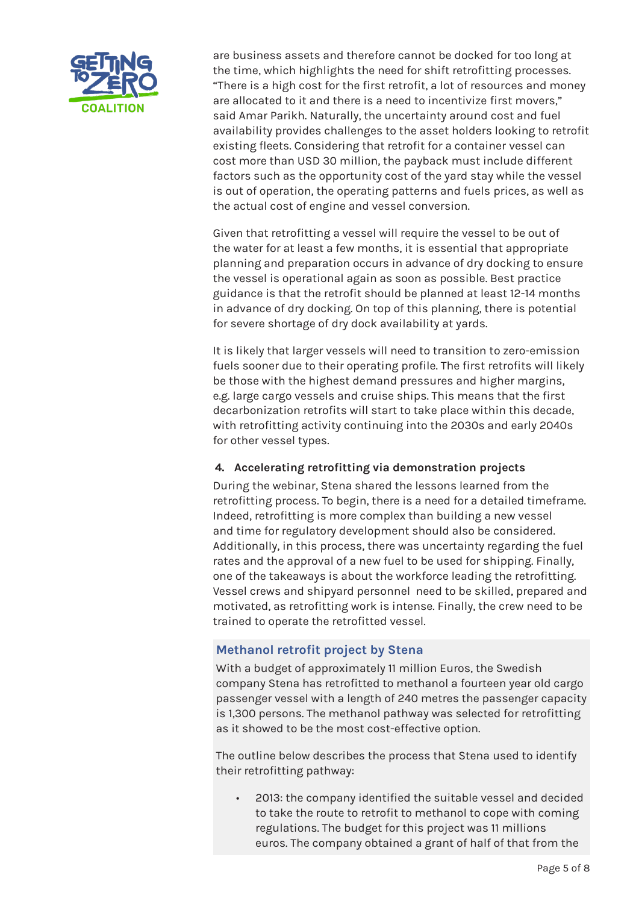

are business assets and therefore cannot be docked for too long at the time, which highlights the need for shift retrofitting processes. "There is a high cost for the first retrofit, a lot of resources and money are allocated to it and there is a need to incentivize first movers," said Amar Parikh. Naturally, the uncertainty around cost and fuel availability provides challenges to the asset holders looking to retrofit existing fleets. Considering that retrofit for a container vessel can cost more than USD 30 million, the payback must include different factors such as the opportunity cost of the yard stay while the vessel is out of operation, the operating patterns and fuels prices, as well as the actual cost of engine and vessel conversion.

Given that retrofitting a vessel will require the vessel to be out of the water for at least a few months, it is essential that appropriate planning and preparation occurs in advance of dry docking to ensure the vessel is operational again as soon as possible. Best practice guidance is that the retrofit should be planned at least 12-14 months in advance of dry docking. On top of this planning, there is potential for severe shortage of dry dock availability at yards.

It is likely that larger vessels will need to transition to zero-emission fuels sooner due to their operating profile. The first retrofits will likely be those with the highest demand pressures and higher margins, e.g. large cargo vessels and cruise ships. This means that the first decarbonization retrofits will start to take place within this decade, with retrofitting activity continuing into the 2030s and early 2040s for other vessel types.

# **4. Accelerating retrofitting via demonstration projects**

During the webinar, Stena shared the lessons learned from the retrofitting process. To begin, there is a need for a detailed timeframe. Indeed, retrofitting is more complex than building a new vessel and time for regulatory development should also be considered. Additionally, in this process, there was uncertainty regarding the fuel rates and the approval of a new fuel to be used for shipping. Finally, one of the takeaways is about the workforce leading the retrofitting. Vessel crews and shipyard personnel need to be skilled, prepared and motivated, as retrofitting work is intense. Finally, the crew need to be trained to operate the retrofitted vessel.

# **Methanol retrofit project by Stena**

With a budget of approximately 11 million Euros, the Swedish company Stena has retrofitted to methanol a fourteen year old cargo passenger vessel with a length of 240 metres the passenger capacity is 1,300 persons. The methanol pathway was selected for retrofitting as it showed to be the most cost-effective option.

The outline below describes the process that Stena used to identify their retrofitting pathway:

• 2013: the company identified the suitable vessel and decided to take the route to retrofit to methanol to cope with coming regulations. The budget for this project was 11 millions euros. The company obtained a grant of half of that from the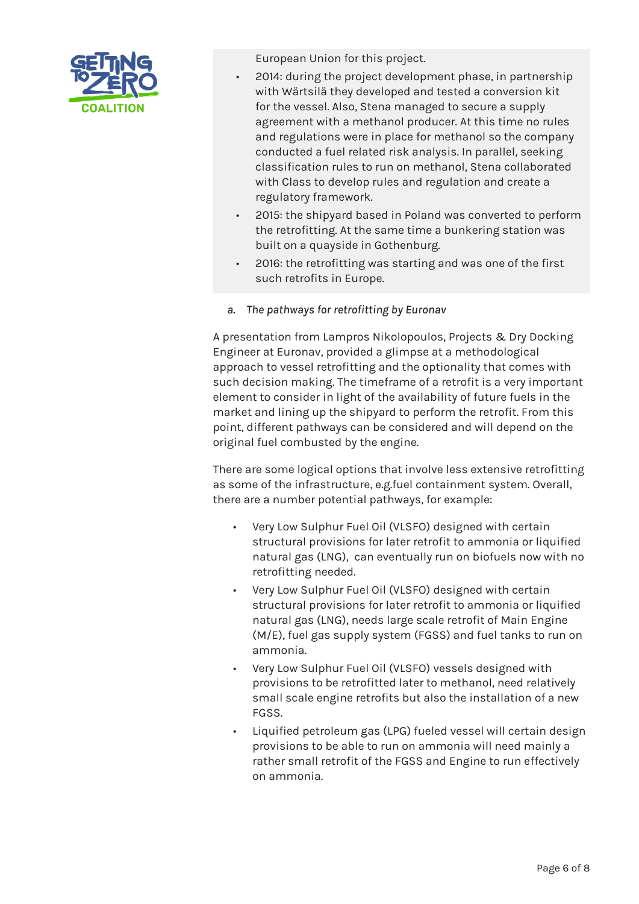

European Union for this project.

- 2014: during the project development phase, in partnership with Wärtsilä they developed and tested a conversion kit for the vessel. Also, Stena managed to secure a supply agreement with a methanol producer. At this time no rules and regulations were in place for methanol so the company conducted a fuel related risk analysis. In parallel, seeking classification rules to run on methanol, Stena collaborated with Class to develop rules and regulation and create a regulatory framework.
- 2015: the shipyard based in Poland was converted to perform the retrofitting. At the same time a bunkering station was built on a quayside in Gothenburg.
- 2016: the retrofitting was starting and was one of the first such retrofits in Europe.
- *a. The pathways for retrofitting by Euronav*

A presentation from Lampros Nikolopoulos, Projects & Dry Docking Engineer at Euronav, provided a glimpse at a methodological approach to vessel retrofitting and the optionality that comes with such decision making. The timeframe of a retrofit is a very important element to consider in light of the availability of future fuels in the market and lining up the shipyard to perform the retrofit. From this point, different pathways can be considered and will depend on the original fuel combusted by the engine.

There are some logical options that involve less extensive retrofitting as some of the infrastructure, e.g.fuel containment system. Overall, there are a number potential pathways, for example:

- Very Low Sulphur Fuel Oil (VLSFO) designed with certain structural provisions for later retrofit to ammonia or liquified natural gas (LNG), can eventually run on biofuels now with no retrofitting needed.
- Very Low Sulphur Fuel Oil (VLSFO) designed with certain structural provisions for later retrofit to ammonia or liquified natural gas (LNG), needs large scale retrofit of Main Engine (M/E), fuel gas supply system (FGSS) and fuel tanks to run on ammonia.
- Very Low Sulphur Fuel Oil (VLSFO) vessels designed with provisions to be retrofitted later to methanol, need relatively small scale engine retrofits but also the installation of a new FGSS.
- Liquified petroleum gas (LPG) fueled vessel will certain design provisions to be able to run on ammonia will need mainly a rather small retrofit of the FGSS and Engine to run effectively on ammonia.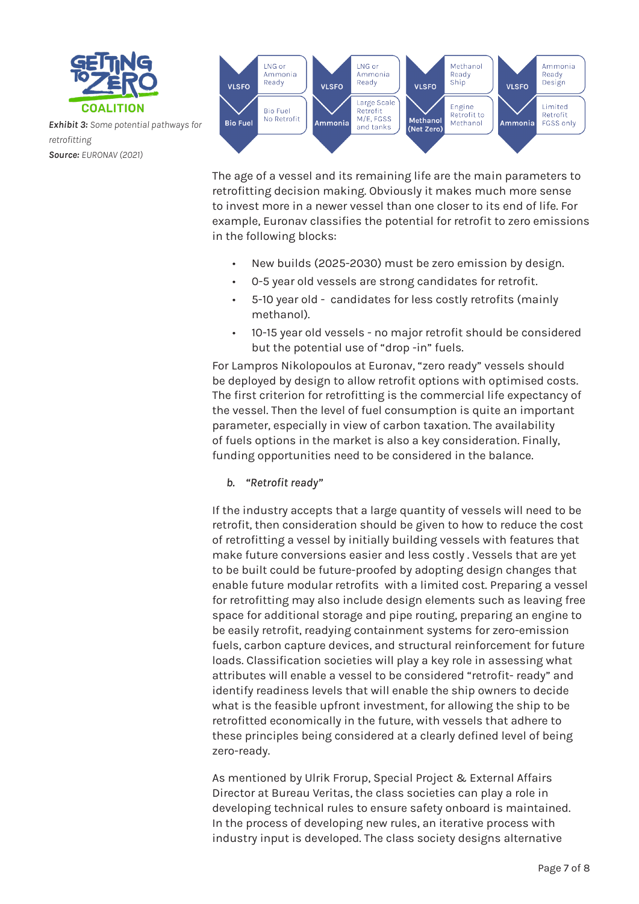

*Exhibit 3: Some potential pathways for retrofitting Source: EURONAV (2021)*



The age of a vessel and its remaining life are the main parameters to retrofitting decision making. Obviously it makes much more sense to invest more in a newer vessel than one closer to its end of life. For example, Euronav classifies the potential for retrofit to zero emissions in the following blocks:

- New builds (2025-2030) must be zero emission by design.
- 0-5 year old vessels are strong candidates for retrofit.
- 5-10 year old candidates for less costly retrofits (mainly methanol).
- 10-15 year old vessels no major retrofit should be considered but the potential use of "drop -in" fuels.

For Lampros Nikolopoulos at Euronav, "zero ready" vessels should be deployed by design to allow retrofit options with optimised costs. The first criterion for retrofitting is the commercial life expectancy of the vessel. Then the level of fuel consumption is quite an important parameter, especially in view of carbon taxation. The availability of fuels options in the market is also a key consideration. Finally, funding opportunities need to be considered in the balance.

*b. "Retrofit ready"*

If the industry accepts that a large quantity of vessels will need to be retrofit, then consideration should be given to how to reduce the cost of retrofitting a vessel by initially building vessels with features that make future conversions easier and less costly . Vessels that are yet to be built could be future-proofed by adopting design changes that enable future modular retrofits with a limited cost. Preparing a vessel for retrofitting may also include design elements such as leaving free space for additional storage and pipe routing, preparing an engine to be easily retrofit, readying containment systems for zero-emission fuels, carbon capture devices, and structural reinforcement for future loads. Classification societies will play a key role in assessing what attributes will enable a vessel to be considered "retrofit- ready" and identify readiness levels that will enable the ship owners to decide what is the feasible upfront investment, for allowing the ship to be retrofitted economically in the future, with vessels that adhere to these principles being considered at a clearly defined level of being zero-ready.

As mentioned by Ulrik Frorup, Special Project & External Affairs Director at Bureau Veritas, the class societies can play a role in developing technical rules to ensure safety onboard is maintained. In the process of developing new rules, an iterative process with industry input is developed. The class society designs alternative